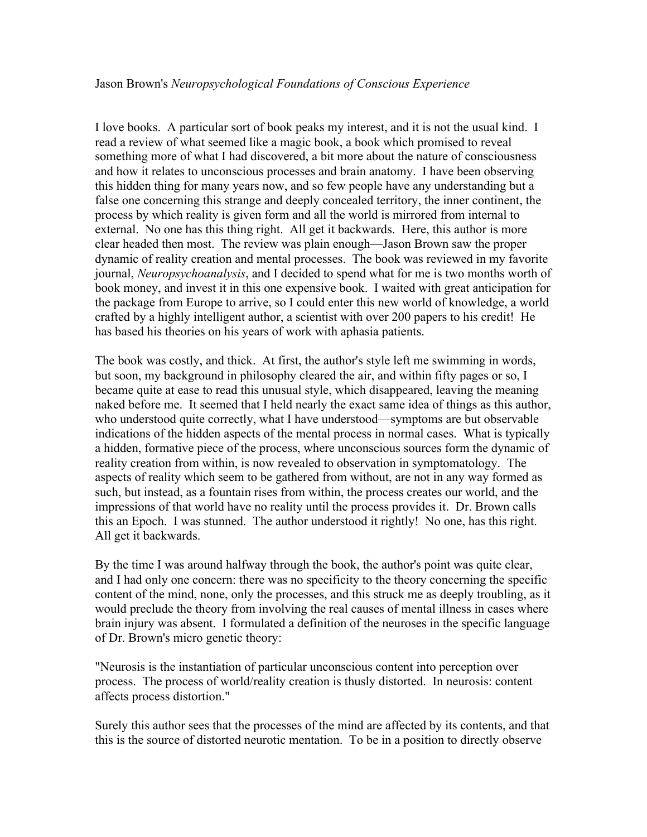## Jason Brown's *Neuropsychological Foundations of Conscious Experience*

I love books. A particular sort of book peaks my interest, and it is not the usual kind. I read a review of what seemed like a magic book, a book which promised to reveal something more of what I had discovered, a bit more about the nature of consciousness and how it relates to unconscious processes and brain anatomy. I have been observing this hidden thing for many years now, and so few people have any understanding but a false one concerning this strange and deeply concealed territory, the inner continent, the process by which reality is given form and all the world is mirrored from internal to external. No one has this thing right. All get it backwards. Here, this author is more clear headed then most. The review was plain enough––Jason Brown saw the proper dynamic of reality creation and mental processes. The book was reviewed in my favorite journal, *Neuropsychoanalysis*, and I decided to spend what for me is two months worth of book money, and invest it in this one expensive book. I waited with great anticipation for the package from Europe to arrive, so I could enter this new world of knowledge, a world crafted by a highly intelligent author, a scientist with over 200 papers to his credit! He has based his theories on his years of work with aphasia patients.

The book was costly, and thick. At first, the author's style left me swimming in words, but soon, my background in philosophy cleared the air, and within fifty pages or so, I became quite at ease to read this unusual style, which disappeared, leaving the meaning naked before me. It seemed that I held nearly the exact same idea of things as this author, who understood quite correctly, what I have understood—symptoms are but observable indications of the hidden aspects of the mental process in normal cases. What is typically a hidden, formative piece of the process, where unconscious sources form the dynamic of reality creation from within, is now revealed to observation in symptomatology. The aspects of reality which seem to be gathered from without, are not in any way formed as such, but instead, as a fountain rises from within, the process creates our world, and the impressions of that world have no reality until the process provides it. Dr. Brown calls this an Epoch. I was stunned. The author understood it rightly! No one, has this right. All get it backwards.

By the time I was around halfway through the book, the author's point was quite clear, and I had only one concern: there was no specificity to the theory concerning the specific content of the mind, none, only the processes, and this struck me as deeply troubling, as it would preclude the theory from involving the real causes of mental illness in cases where brain injury was absent. I formulated a definition of the neuroses in the specific language of Dr. Brown's micro genetic theory:

"Neurosis is the instantiation of particular unconscious content into perception over process. The process of world/reality creation is thusly distorted. In neurosis: content affects process distortion."

Surely this author sees that the processes of the mind are affected by its contents, and that this is the source of distorted neurotic mentation. To be in a position to directly observe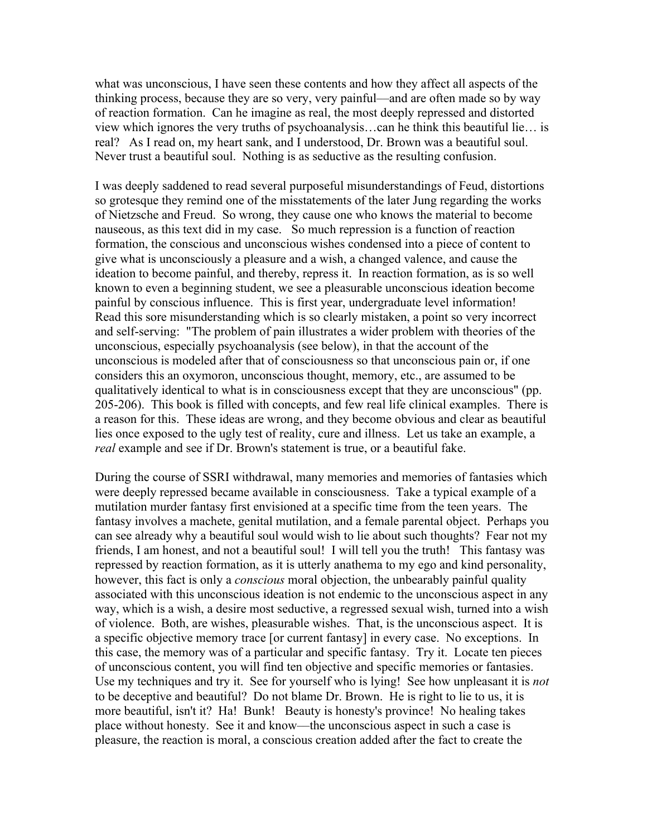what was unconscious, I have seen these contents and how they affect all aspects of the thinking process, because they are so very, very painful––and are often made so by way of reaction formation. Can he imagine as real, the most deeply repressed and distorted view which ignores the very truths of psychoanalysis…can he think this beautiful lie… is real? As I read on, my heart sank, and I understood, Dr. Brown was a beautiful soul. Never trust a beautiful soul. Nothing is as seductive as the resulting confusion.

I was deeply saddened to read several purposeful misunderstandings of Feud, distortions so grotesque they remind one of the misstatements of the later Jung regarding the works of Nietzsche and Freud. So wrong, they cause one who knows the material to become nauseous, as this text did in my case. So much repression is a function of reaction formation, the conscious and unconscious wishes condensed into a piece of content to give what is unconsciously a pleasure and a wish, a changed valence, and cause the ideation to become painful, and thereby, repress it. In reaction formation, as is so well known to even a beginning student, we see a pleasurable unconscious ideation become painful by conscious influence. This is first year, undergraduate level information! Read this sore misunderstanding which is so clearly mistaken, a point so very incorrect and self-serving: "The problem of pain illustrates a wider problem with theories of the unconscious, especially psychoanalysis (see below), in that the account of the unconscious is modeled after that of consciousness so that unconscious pain or, if one considers this an oxymoron, unconscious thought, memory, etc., are assumed to be qualitatively identical to what is in consciousness except that they are unconscious" (pp. 205-206). This book is filled with concepts, and few real life clinical examples. There is a reason for this. These ideas are wrong, and they become obvious and clear as beautiful lies once exposed to the ugly test of reality, cure and illness. Let us take an example, a *real* example and see if Dr. Brown's statement is true, or a beautiful fake.

During the course of SSRI withdrawal, many memories and memories of fantasies which were deeply repressed became available in consciousness. Take a typical example of a mutilation murder fantasy first envisioned at a specific time from the teen years. The fantasy involves a machete, genital mutilation, and a female parental object. Perhaps you can see already why a beautiful soul would wish to lie about such thoughts? Fear not my friends, I am honest, and not a beautiful soul! I will tell you the truth! This fantasy was repressed by reaction formation, as it is utterly anathema to my ego and kind personality, however, this fact is only a *conscious* moral objection, the unbearably painful quality associated with this unconscious ideation is not endemic to the unconscious aspect in any way, which is a wish, a desire most seductive, a regressed sexual wish, turned into a wish of violence. Both, are wishes, pleasurable wishes. That, is the unconscious aspect. It is a specific objective memory trace [or current fantasy] in every case. No exceptions. In this case, the memory was of a particular and specific fantasy. Try it. Locate ten pieces of unconscious content, you will find ten objective and specific memories or fantasies. Use my techniques and try it. See for yourself who is lying! See how unpleasant it is *not* to be deceptive and beautiful? Do not blame Dr. Brown. He is right to lie to us, it is more beautiful, isn't it? Ha! Bunk! Beauty is honesty's province! No healing takes place without honesty. See it and know––the unconscious aspect in such a case is pleasure, the reaction is moral, a conscious creation added after the fact to create the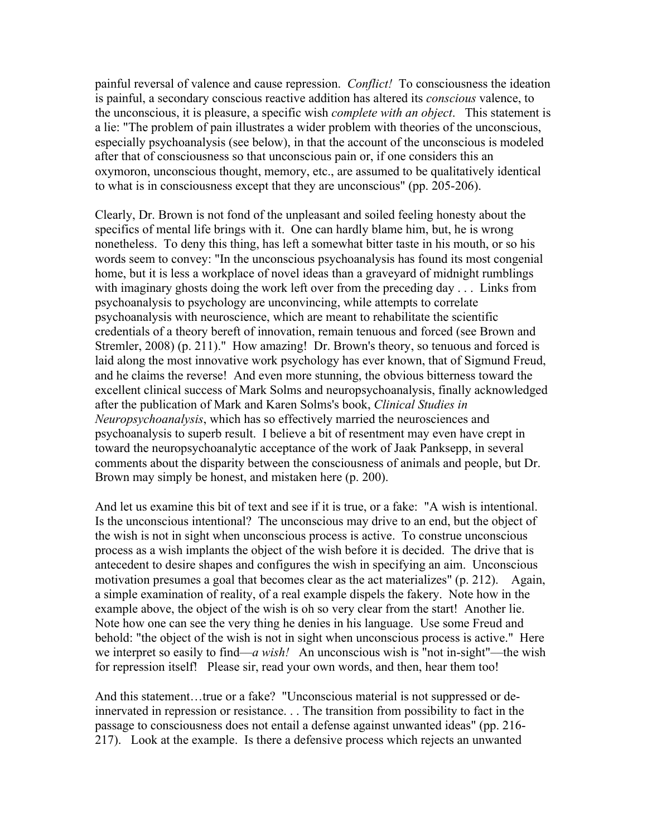painful reversal of valence and cause repression. *Conflict!* To consciousness the ideation is painful, a secondary conscious reactive addition has altered its *conscious* valence, to the unconscious, it is pleasure, a specific wish *complete with an object*. This statement is a lie: "The problem of pain illustrates a wider problem with theories of the unconscious, especially psychoanalysis (see below), in that the account of the unconscious is modeled after that of consciousness so that unconscious pain or, if one considers this an oxymoron, unconscious thought, memory, etc., are assumed to be qualitatively identical to what is in consciousness except that they are unconscious" (pp. 205-206).

Clearly, Dr. Brown is not fond of the unpleasant and soiled feeling honesty about the specifics of mental life brings with it. One can hardly blame him, but, he is wrong nonetheless. To deny this thing, has left a somewhat bitter taste in his mouth, or so his words seem to convey: "In the unconscious psychoanalysis has found its most congenial home, but it is less a workplace of novel ideas than a graveyard of midnight rumblings with imaginary ghosts doing the work left over from the preceding day . . . Links from psychoanalysis to psychology are unconvincing, while attempts to correlate psychoanalysis with neuroscience, which are meant to rehabilitate the scientific credentials of a theory bereft of innovation, remain tenuous and forced (see Brown and Stremler, 2008) (p. 211)." How amazing! Dr. Brown's theory, so tenuous and forced is laid along the most innovative work psychology has ever known, that of Sigmund Freud, and he claims the reverse! And even more stunning, the obvious bitterness toward the excellent clinical success of Mark Solms and neuropsychoanalysis, finally acknowledged after the publication of Mark and Karen Solms's book, *Clinical Studies in Neuropsychoanalysis*, which has so effectively married the neurosciences and psychoanalysis to superb result. I believe a bit of resentment may even have crept in toward the neuropsychoanalytic acceptance of the work of Jaak Panksepp, in several comments about the disparity between the consciousness of animals and people, but Dr. Brown may simply be honest, and mistaken here (p. 200).

And let us examine this bit of text and see if it is true, or a fake: "A wish is intentional. Is the unconscious intentional? The unconscious may drive to an end, but the object of the wish is not in sight when unconscious process is active. To construe unconscious process as a wish implants the object of the wish before it is decided. The drive that is antecedent to desire shapes and configures the wish in specifying an aim. Unconscious motivation presumes a goal that becomes clear as the act materializes" (p. 212). Again, a simple examination of reality, of a real example dispels the fakery. Note how in the example above, the object of the wish is oh so very clear from the start! Another lie. Note how one can see the very thing he denies in his language. Use some Freud and behold: "the object of the wish is not in sight when unconscious process is active." Here we interpret so easily to find—*a wish!* An unconscious wish is "not in-sight"—the wish for repression itself! Please sir, read your own words, and then, hear them too!

And this statement…true or a fake? "Unconscious material is not suppressed or deinnervated in repression or resistance. . . The transition from possibility to fact in the passage to consciousness does not entail a defense against unwanted ideas" (pp. 216- 217). Look at the example. Is there a defensive process which rejects an unwanted